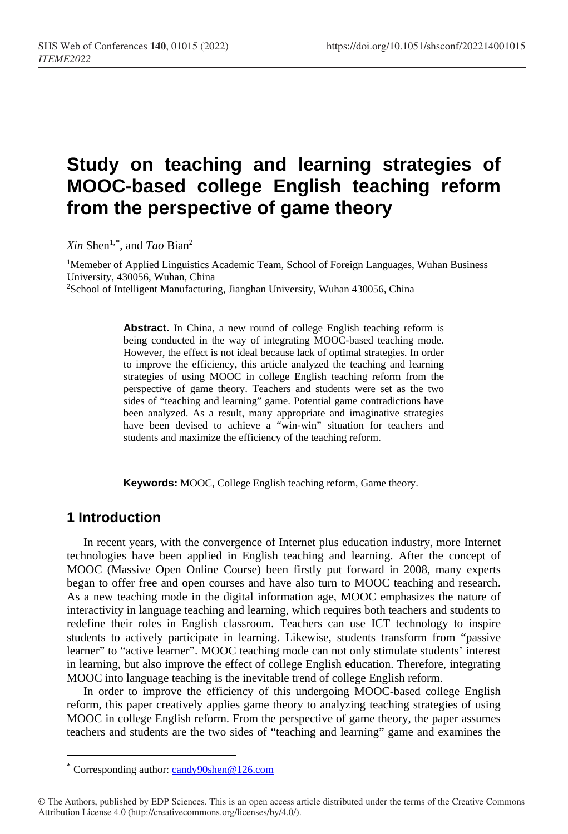# **Study on teaching and learning strategies of MOOC-based college English teaching reform from the perspective of game theory**

*Xin* Shen1,[\\*](#page-0-0) , and *Tao* Bian2

1Memeber of Applied Linguistics Academic Team, School of Foreign Languages, Wuhan Business University, 430056, Wuhan, China 2School of Intelligent Manufacturing, Jianghan University, Wuhan 430056, China

> **Abstract.** In China, a new round of college English teaching reform is being conducted in the way of integrating MOOC-based teaching mode. However, the effect is not ideal because lack of optimal strategies. In order to improve the efficiency, this article analyzed the teaching and learning strategies of using MOOC in college English teaching reform from the perspective of game theory. Teachers and students were set as the two sides of "teaching and learning" game. Potential game contradictions have been analyzed. As a result, many appropriate and imaginative strategies have been devised to achieve a "win-win" situation for teachers and students and maximize the efficiency of the teaching reform.

**Keywords:** MOOC, College English teaching reform, Game theory.

### **1 Introduction**

 $\overline{a}$ 

In recent years, with the convergence of Internet plus education industry, more Internet technologies have been applied in English teaching and learning. After the concept of MOOC (Massive Open Online Course) been firstly put forward in 2008, many experts began to offer free and open courses and have also turn to MOOC teaching and research. As a new teaching mode in the digital information age, MOOC emphasizes the nature of interactivity in language teaching and learning, which requires both teachers and students to redefine their roles in English classroom. Teachers can use ICT technology to inspire students to actively participate in learning. Likewise, students transform from "passive learner" to "active learner". MOOC teaching mode can not only stimulate students' interest in learning, but also improve the effect of college English education. Therefore, integrating MOOC into language teaching is the inevitable trend of college English reform.

In order to improve the efficiency of this undergoing MOOC-based college English reform, this paper creatively applies game theory to analyzing teaching strategies of using MOOC in college English reform. From the perspective of game theory, the paper assumes teachers and students are the two sides of "teaching and learning" game and examines the

<sup>\*</sup> Corresponding author: [candy90shen@126.com](mailto:candy90shen@126.com)

<span id="page-0-0"></span><sup>©</sup> The Authors, published by EDP Sciences. This is an open access article distributed under the terms of the Creative Commons Attribution License 4.0 (http://creativecommons.org/licenses/by/4.0/).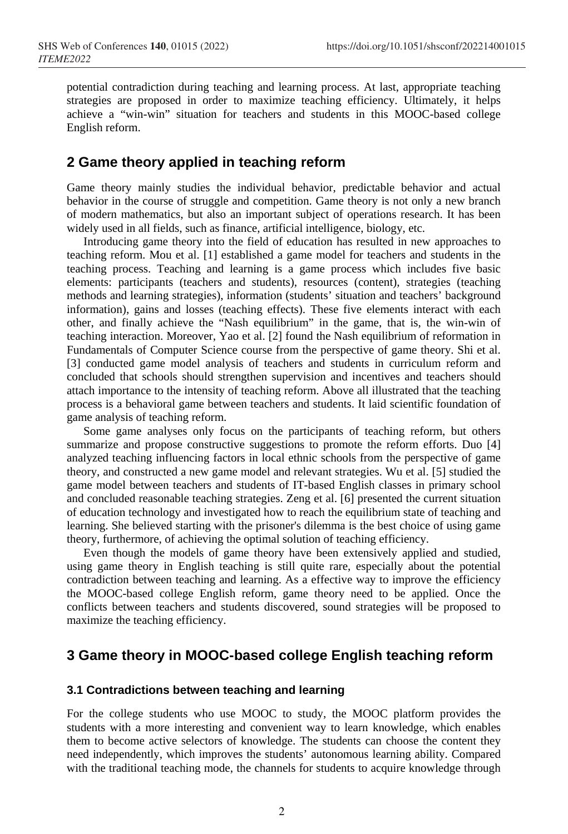potential contradiction during teaching and learning process. At last, appropriate teaching strategies are proposed in order to maximize teaching efficiency. Ultimately, it helps achieve a "win-win" situation for teachers and students in this MOOC-based college English reform.

### **2 Game theory applied in teaching reform**

Game theory mainly studies the individual behavior, predictable behavior and actual behavior in the course of struggle and competition. Game theory is not only a new branch of modern mathematics, but also an important subject of operations research. It has been widely used in all fields, such as finance, artificial intelligence, biology, etc.

Introducing game theory into the field of education has resulted in new approaches to teaching reform. Mou et al. [1] established a game model for teachers and students in the teaching process. Teaching and learning is a game process which includes five basic elements: participants (teachers and students), resources (content), strategies (teaching methods and learning strategies), information (students' situation and teachers' background information), gains and losses (teaching effects). These five elements interact with each other, and finally achieve the "Nash equilibrium" in the game, that is, the win-win of teaching interaction. Moreover, Yao et al. [2] found the Nash equilibrium of reformation in Fundamentals of Computer Science course from the perspective of game theory. Shi et al. [3] conducted game model analysis of teachers and students in curriculum reform and concluded that schools should strengthen supervision and incentives and teachers should attach importance to the intensity of teaching reform. Above all illustrated that the teaching process is a behavioral game between teachers and students. It laid scientific foundation of game analysis of teaching reform.

Some game analyses only focus on the participants of teaching reform, but others summarize and propose constructive suggestions to promote the reform efforts. Duo [4] analyzed teaching influencing factors in local ethnic schools from the perspective of game theory, and constructed a new game model and relevant strategies. Wu et al. [5] studied the game model between teachers and students of IT-based English classes in primary school and concluded reasonable teaching strategies. Zeng et al. [6] presented the current situation of education technology and investigated how to reach the equilibrium state of teaching and learning. She believed starting with the prisoner's dilemma is the best choice of using game theory, furthermore, of achieving the optimal solution of teaching efficiency.

Even though the models of game theory have been extensively applied and studied, using game theory in English teaching is still quite rare, especially about the potential contradiction between teaching and learning. As a effective way to improve the efficiency the MOOC-based college English reform, game theory need to be applied. Once the conflicts between teachers and students discovered, sound strategies will be proposed to maximize the teaching efficiency.

# **3 Game theory in MOOC-based college English teaching reform**

### **3.1 Contradictions between teaching and learning**

For the college students who use MOOC to study, the MOOC platform provides the students with a more interesting and convenient way to learn knowledge, which enables them to become active selectors of knowledge. The students can choose the content they need independently, which improves the students' autonomous learning ability. Compared with the traditional teaching mode, the channels for students to acquire knowledge through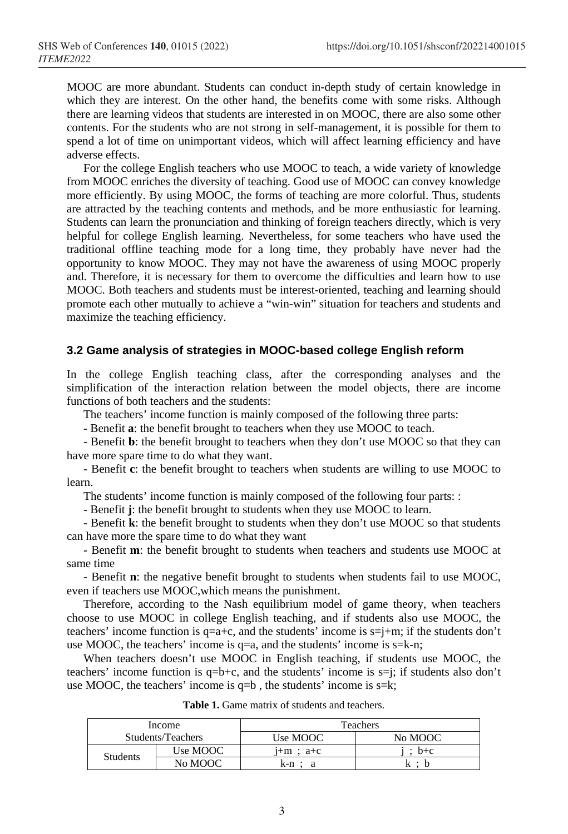MOOC are more abundant. Students can conduct in-depth study of certain knowledge in which they are interest. On the other hand, the benefits come with some risks. Although there are learning videos that students are interested in on MOOC, there are also some other contents. For the students who are not strong in self-management, it is possible for them to spend a lot of time on unimportant videos, which will affect learning efficiency and have adverse effects.

For the college English teachers who use MOOC to teach, a wide variety of knowledge from MOOC enriches the diversity of teaching. Good use of MOOC can convey knowledge more efficiently. By using MOOC, the forms of teaching are more colorful. Thus, students are attracted by the teaching contents and methods, and be more enthusiastic for learning. Students can learn the pronunciation and thinking of foreign teachers directly, which is very helpful for college English learning. Nevertheless, for some teachers who have used the traditional offline teaching mode for a long time, they probably have never had the opportunity to know MOOC. They may not have the awareness of using MOOC properly and. Therefore, it is necessary for them to overcome the difficulties and learn how to use MOOC. Both teachers and students must be interest-oriented, teaching and learning should promote each other mutually to achieve a "win-win" situation for teachers and students and maximize the teaching efficiency.

#### **3.2 Game analysis of strategies in MOOC-based college English reform**

In the college English teaching class, after the corresponding analyses and the simplification of the interaction relation between the model objects, there are income functions of both teachers and the students:

The teachers' income function is mainly composed of the following three parts:

- Benefit **a**: the benefit brought to teachers when they use MOOC to teach.

- Benefit **b**: the benefit brought to teachers when they don't use MOOC so that they can have more spare time to do what they want.

- Benefit **c**: the benefit brought to teachers when students are willing to use MOOC to learn.

The students' income function is mainly composed of the following four parts: :

- Benefit **j**: the benefit brought to students when they use MOOC to learn.

- Benefit **k**: the benefit brought to students when they don't use MOOC so that students can have more the spare time to do what they want

- Benefit **m**: the benefit brought to students when teachers and students use MOOC at same time

- Benefit **n**: the negative benefit brought to students when students fail to use MOOC, even if teachers use MOOC,which means the punishment.

Therefore, according to the Nash equilibrium model of game theory, when teachers choose to use MOOC in college English teaching, and if students also use MOOC, the teachers' income function is  $q=a+c$ , and the students' income is  $s=j+m$ ; if the students don't use MOOC, the teachers' income is q=a, and the students' income is s=k-n;

When teachers doesn't use MOOC in English teaching, if students use MOOC, the teachers' income function is  $q=b+c$ , and the students' income is  $s=i$ ; if students also don't use MOOC, the teachers' income is  $q=b$ , the students' income is  $s=k$ ;

| Income            |          | Teachers      |         |
|-------------------|----------|---------------|---------|
| Students/Teachers |          | Use MOOC      | No MOOC |
| <b>Students</b>   | Use MOOC | $1+m$ ; $a+c$ | : $b+c$ |
|                   | No MOOC  | k-n :         | l∽ •    |

**Table 1.** Game matrix of students and teachers.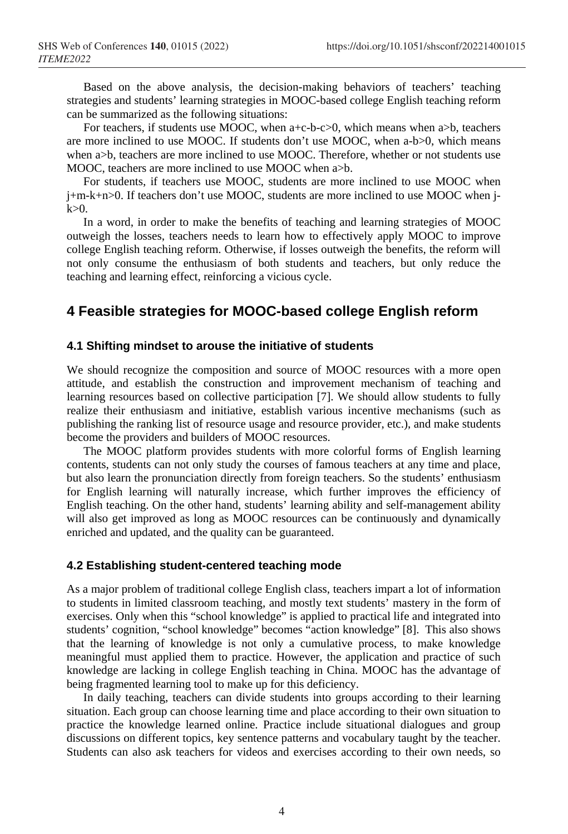Based on the above analysis, the decision-making behaviors of teachers' teaching strategies and students' learning strategies in MOOC-based college English teaching reform can be summarized as the following situations:

For teachers, if students use MOOC, when a+c-b-c>0, which means when a>b, teachers are more inclined to use MOOC. If students don't use MOOC, when a-b>0, which means when a>b, teachers are more inclined to use MOOC. Therefore, whether or not students use MOOC, teachers are more inclined to use MOOC when  $a$ b.

For students, if teachers use MOOC, students are more inclined to use MOOC when j+m-k+n>0. If teachers don't use MOOC, students are more inclined to use MOOC when j $k>0$ .

In a word, in order to make the benefits of teaching and learning strategies of MOOC outweigh the losses, teachers needs to learn how to effectively apply MOOC to improve college English teaching reform. Otherwise, if losses outweigh the benefits, the reform will not only consume the enthusiasm of both students and teachers, but only reduce the teaching and learning effect, reinforcing a vicious cycle.

## **4 Feasible strategies for MOOC-based college English reform**

### **4.1 Shifting mindset to arouse the initiative of students**

We should recognize the composition and source of MOOC resources with a more open attitude, and establish the construction and improvement mechanism of teaching and learning resources based on collective participation [7]. We should allow students to fully realize their enthusiasm and initiative, establish various incentive mechanisms (such as publishing the ranking list of resource usage and resource provider, etc.), and make students become the providers and builders of MOOC resources.

The MOOC platform provides students with more colorful forms of English learning contents, students can not only study the courses of famous teachers at any time and place, but also learn the pronunciation directly from foreign teachers. So the students' enthusiasm for English learning will naturally increase, which further improves the efficiency of English teaching. On the other hand, students' learning ability and self-management ability will also get improved as long as MOOC resources can be continuously and dynamically enriched and updated, and the quality can be guaranteed.

#### **4.2 Establishing student-centered teaching mode**

As a major problem of traditional college English class, teachers impart a lot of information to students in limited classroom teaching, and mostly text students' mastery in the form of exercises. Only when this "school knowledge" is applied to practical life and integrated into students' cognition, "school knowledge" becomes "action knowledge" [8]. This also shows that the learning of knowledge is not only a cumulative process, to make knowledge meaningful must applied them to practice. However, the application and practice of such knowledge are lacking in college English teaching in China. MOOC has the advantage of being fragmented learning tool to make up for this deficiency.

In daily teaching, teachers can divide students into groups according to their learning situation. Each group can choose learning time and place according to their own situation to practice the knowledge learned online. Practice include situational dialogues and group discussions on different topics, key sentence patterns and vocabulary taught by the teacher. Students can also ask teachers for videos and exercises according to their own needs, so